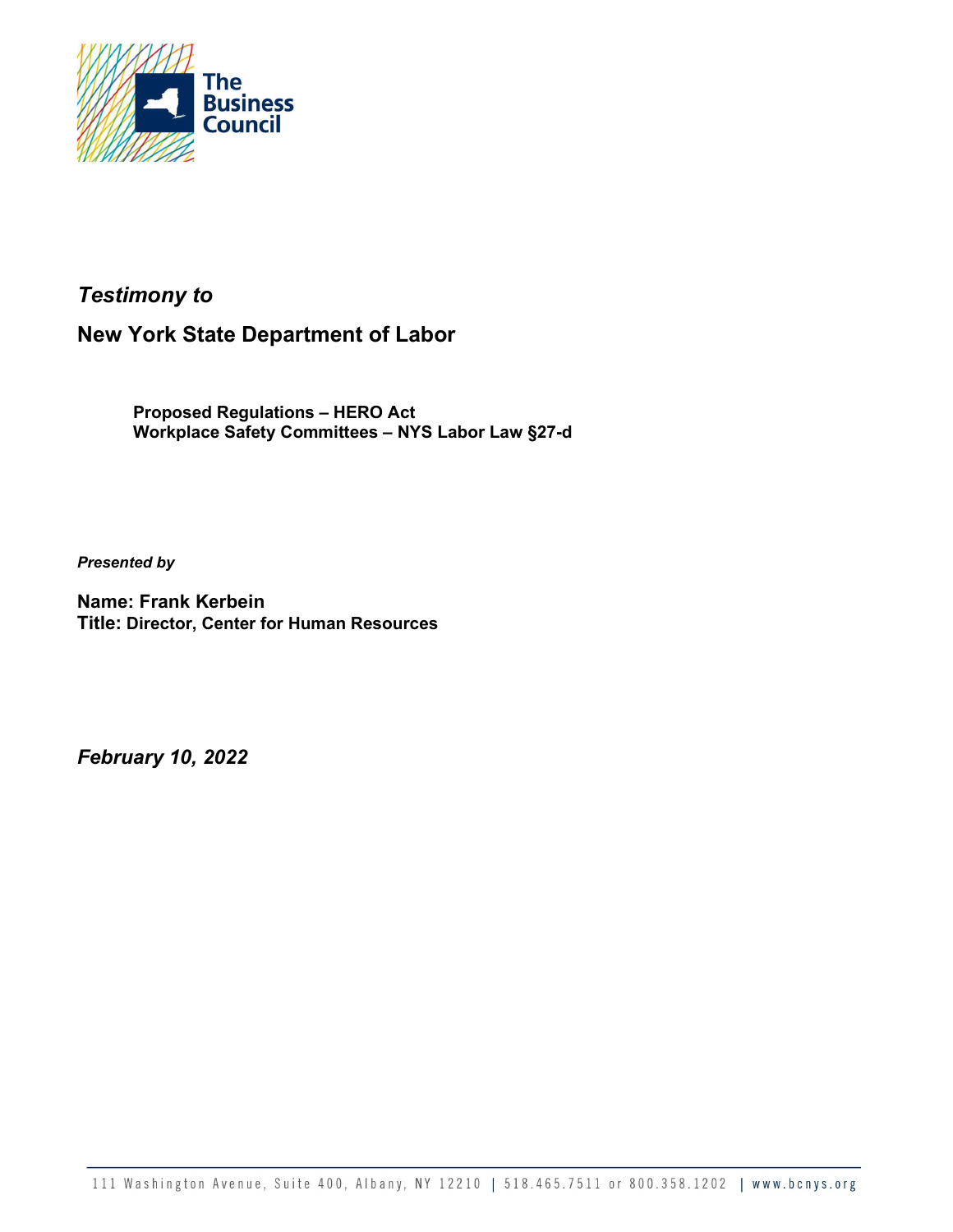

# Testimony to

# New York State Department of Labor

Proposed Regulations – HERO Act Workplace Safety Committees – NYS Labor Law §27-d

Presented by

Name: Frank Kerbein Title: Director, Center for Human Resources

February 10, 2022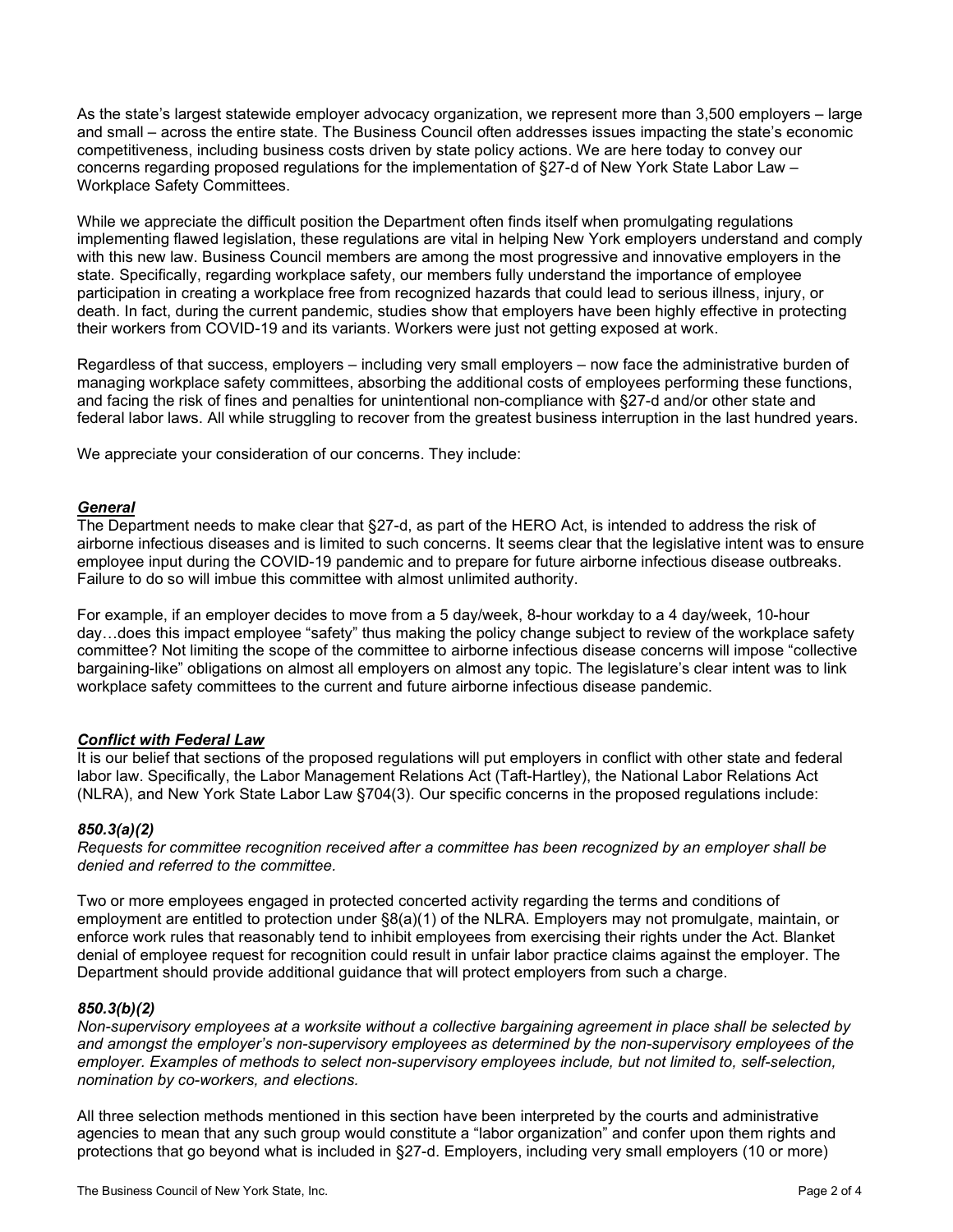As the state's largest statewide employer advocacy organization, we represent more than 3,500 employers – large and small – across the entire state. The Business Council often addresses issues impacting the state's economic competitiveness, including business costs driven by state policy actions. We are here today to convey our concerns regarding proposed regulations for the implementation of §27-d of New York State Labor Law – Workplace Safety Committees.

While we appreciate the difficult position the Department often finds itself when promulgating regulations implementing flawed legislation, these regulations are vital in helping New York employers understand and comply with this new law. Business Council members are among the most progressive and innovative employers in the state. Specifically, regarding workplace safety, our members fully understand the importance of employee participation in creating a workplace free from recognized hazards that could lead to serious illness, injury, or death. In fact, during the current pandemic, studies show that employers have been highly effective in protecting their workers from COVID-19 and its variants. Workers were just not getting exposed at work.

Regardless of that success, employers – including very small employers – now face the administrative burden of managing workplace safety committees, absorbing the additional costs of employees performing these functions, and facing the risk of fines and penalties for unintentional non-compliance with §27-d and/or other state and federal labor laws. All while struggling to recover from the greatest business interruption in the last hundred years.

We appreciate your consideration of our concerns. They include:

# **General**

The Department needs to make clear that §27-d, as part of the HERO Act, is intended to address the risk of airborne infectious diseases and is limited to such concerns. It seems clear that the legislative intent was to ensure employee input during the COVID-19 pandemic and to prepare for future airborne infectious disease outbreaks. Failure to do so will imbue this committee with almost unlimited authority.

For example, if an employer decides to move from a 5 day/week, 8-hour workday to a 4 day/week, 10-hour day…does this impact employee "safety" thus making the policy change subject to review of the workplace safety committee? Not limiting the scope of the committee to airborne infectious disease concerns will impose "collective bargaining-like" obligations on almost all employers on almost any topic. The legislature's clear intent was to link workplace safety committees to the current and future airborne infectious disease pandemic.

# Conflict with Federal Law

It is our belief that sections of the proposed regulations will put employers in conflict with other state and federal labor law. Specifically, the Labor Management Relations Act (Taft-Hartley), the National Labor Relations Act (NLRA), and New York State Labor Law §704(3). Our specific concerns in the proposed regulations include:

# 850.3(a)(2)

Requests for committee recognition received after a committee has been recognized by an employer shall be denied and referred to the committee.

Two or more employees engaged in protected concerted activity regarding the terms and conditions of employment are entitled to protection under §8(a)(1) of the NLRA. Employers may not promulgate, maintain, or enforce work rules that reasonably tend to inhibit employees from exercising their rights under the Act. Blanket denial of employee request for recognition could result in unfair labor practice claims against the employer. The Department should provide additional guidance that will protect employers from such a charge.

# 850.3(b)(2)

Non-supervisory employees at a worksite without a collective bargaining agreement in place shall be selected by and amongst the employer's non-supervisory employees as determined by the non-supervisory employees of the employer. Examples of methods to select non-supervisory employees include, but not limited to, self-selection, nomination by co-workers, and elections.

All three selection methods mentioned in this section have been interpreted by the courts and administrative agencies to mean that any such group would constitute a "labor organization" and confer upon them rights and protections that go beyond what is included in §27-d. Employers, including very small employers (10 or more)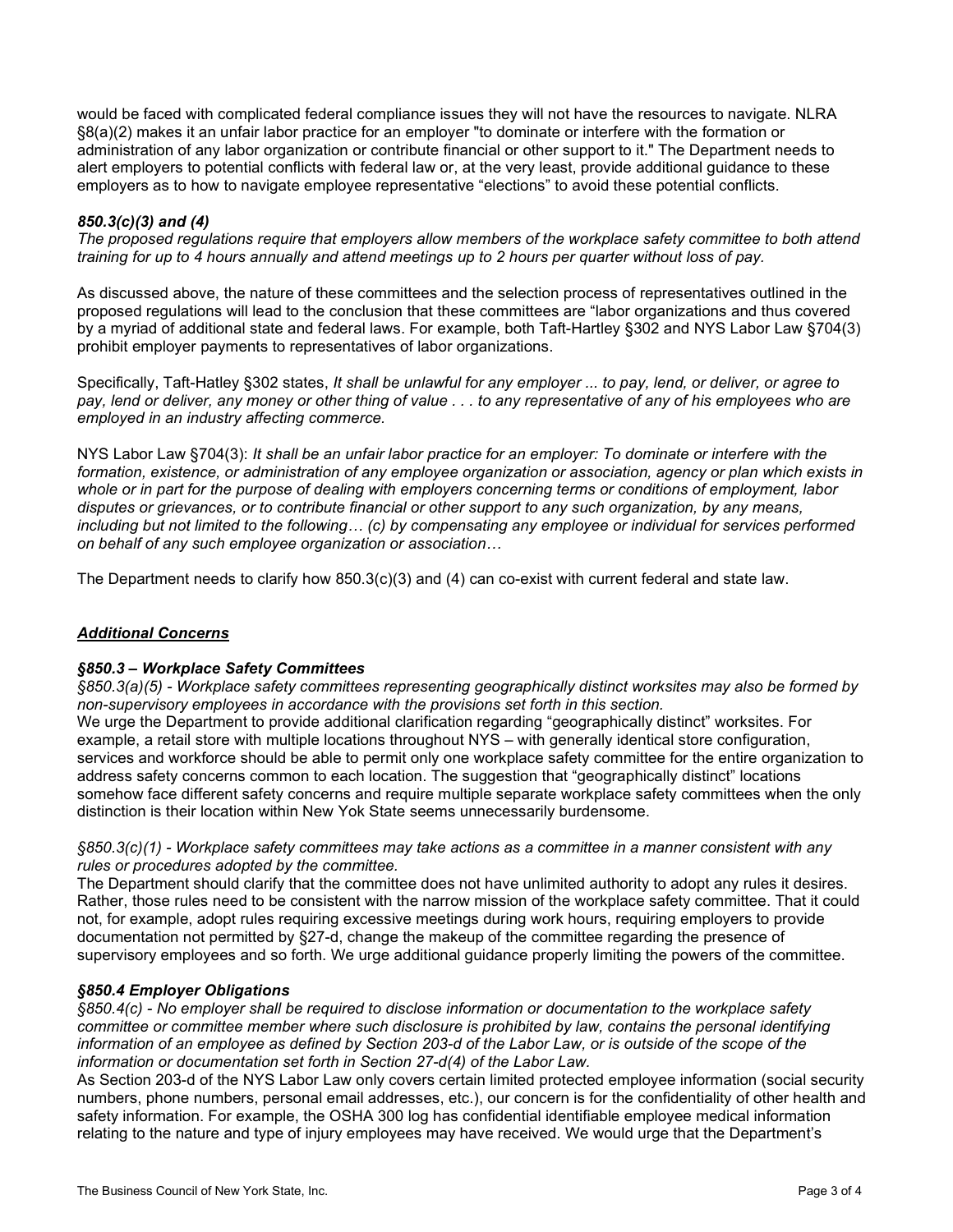would be faced with complicated federal compliance issues they will not have the resources to navigate. NLRA §8(a)(2) makes it an unfair labor practice for an employer "to dominate or interfere with the formation or administration of any labor organization or contribute financial or other support to it." The Department needs to alert employers to potential conflicts with federal law or, at the very least, provide additional guidance to these employers as to how to navigate employee representative "elections" to avoid these potential conflicts.

# 850.3(c)(3) and (4)

The proposed regulations require that employers allow members of the workplace safety committee to both attend training for up to 4 hours annually and attend meetings up to 2 hours per quarter without loss of pay.

As discussed above, the nature of these committees and the selection process of representatives outlined in the proposed regulations will lead to the conclusion that these committees are "labor organizations and thus covered by a myriad of additional state and federal laws. For example, both Taft-Hartley §302 and NYS Labor Law §704(3) prohibit employer payments to representatives of labor organizations.

Specifically, Taft-Hatley §302 states, It shall be unlawful for any employer ... to pay, lend, or deliver, or agree to pay, lend or deliver, any money or other thing of value . . . to any representative of any of his employees who are employed in an industry affecting commerce.

NYS Labor Law §704(3): It shall be an unfair labor practice for an employer: To dominate or interfere with the formation, existence, or administration of any employee organization or association, agency or plan which exists in whole or in part for the purpose of dealing with employers concerning terms or conditions of employment, labor disputes or grievances, or to contribute financial or other support to any such organization, by any means, including but not limited to the following… (c) by compensating any employee or individual for services performed on behalf of any such employee organization or association…

The Department needs to clarify how 850.3(c)(3) and (4) can co-exist with current federal and state law.

# Additional Concerns

# §850.3 – Workplace Safety Committees

§850.3(a)(5) - Workplace safety committees representing geographically distinct worksites may also be formed by non-supervisory employees in accordance with the provisions set forth in this section.

We urge the Department to provide additional clarification regarding "geographically distinct" worksites. For example, a retail store with multiple locations throughout NYS – with generally identical store configuration, services and workforce should be able to permit only one workplace safety committee for the entire organization to address safety concerns common to each location. The suggestion that "geographically distinct" locations somehow face different safety concerns and require multiple separate workplace safety committees when the only distinction is their location within New Yok State seems unnecessarily burdensome.

# §850.3(c)(1) - Workplace safety committees may take actions as a committee in a manner consistent with any rules or procedures adopted by the committee.

The Department should clarify that the committee does not have unlimited authority to adopt any rules it desires. Rather, those rules need to be consistent with the narrow mission of the workplace safety committee. That it could not, for example, adopt rules requiring excessive meetings during work hours, requiring employers to provide documentation not permitted by §27-d, change the makeup of the committee regarding the presence of supervisory employees and so forth. We urge additional guidance properly limiting the powers of the committee.

# §850.4 Employer Obligations

§850.4(c) - No employer shall be required to disclose information or documentation to the workplace safety committee or committee member where such disclosure is prohibited by law, contains the personal identifying information of an employee as defined by Section 203-d of the Labor Law, or is outside of the scope of the information or documentation set forth in Section 27-d(4) of the Labor Law.

As Section 203-d of the NYS Labor Law only covers certain limited protected employee information (social security numbers, phone numbers, personal email addresses, etc.), our concern is for the confidentiality of other health and safety information. For example, the OSHA 300 log has confidential identifiable employee medical information relating to the nature and type of injury employees may have received. We would urge that the Department's